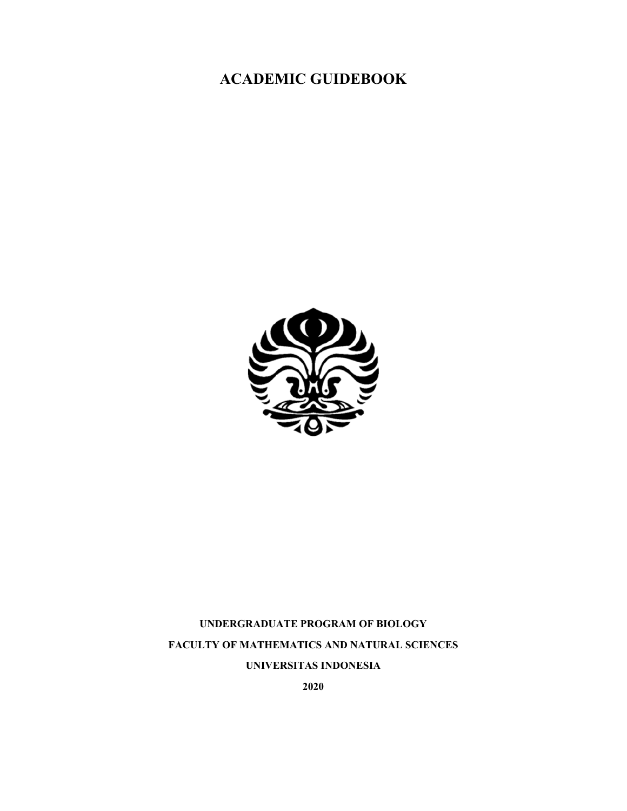# **ACADEMIC GUIDEBOOK**



# **UNDERGRADUATE PROGRAM OF BIOLOGY FACULTY OF MATHEMATICS AND NATURAL SCIENCES UNIVERSITAS INDONESIA**

**2020**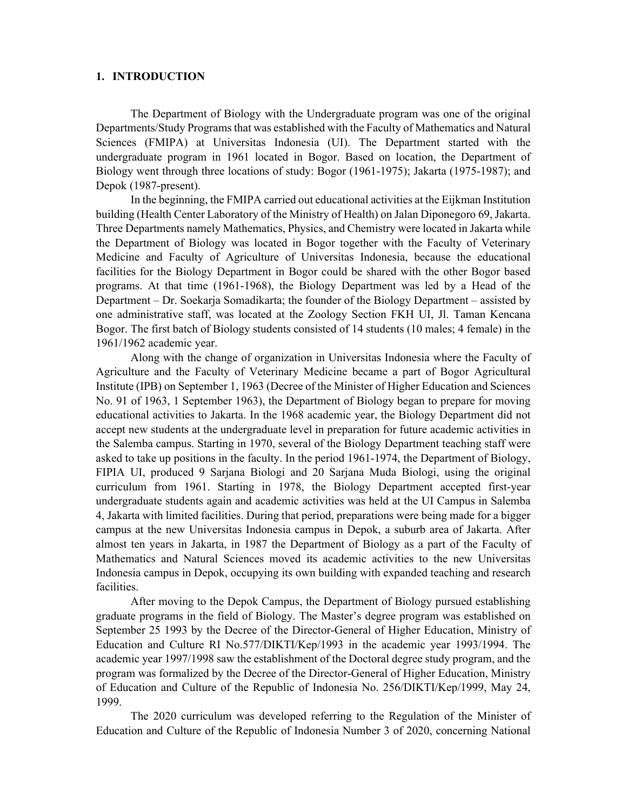#### **1. INTRODUCTION**

The Department of Biology with the Undergraduate program was one of the original Departments/Study Programs that was established with the Faculty of Mathematics and Natural Sciences (FMIPA) at Universitas Indonesia (UI). The Department started with the undergraduate program in 1961 located in Bogor. Based on location, the Department of Biology went through three locations of study: Bogor (1961-1975); Jakarta (1975-1987); and Depok (1987-present).

In the beginning, the FMIPA carried out educational activities at the Eijkman Institution building (Health Center Laboratory of the Ministry of Health) on Jalan Diponegoro 69, Jakarta. Three Departments namely Mathematics, Physics, and Chemistry were located in Jakarta while the Department of Biology was located in Bogor together with the Faculty of Veterinary Medicine and Faculty of Agriculture of Universitas Indonesia, because the educational facilities for the Biology Department in Bogor could be shared with the other Bogor based programs. At that time (1961-1968), the Biology Department was led by a Head of the Department – Dr. Soekarja Somadikarta; the founder of the Biology Department – assisted by one administrative staff, was located at the Zoology Section FKH UI, Jl. Taman Kencana Bogor. The first batch of Biology students consisted of 14 students (10 males; 4 female) in the 1961/1962 academic year.

Along with the change of organization in Universitas Indonesia where the Faculty of Agriculture and the Faculty of Veterinary Medicine became a part of Bogor Agricultural Institute (IPB) on September 1, 1963 (Decree of the Minister of Higher Education and Sciences No. 91 of 1963, 1 September 1963), the Department of Biology began to prepare for moving educational activities to Jakarta. In the 1968 academic year, the Biology Department did not accept new students at the undergraduate level in preparation for future academic activities in the Salemba campus. Starting in 1970, several of the Biology Department teaching staff were asked to take up positions in the faculty. In the period 1961-1974, the Department of Biology, FIPIA UI, produced 9 Sarjana Biologi and 20 Sarjana Muda Biologi, using the original curriculum from 1961. Starting in 1978, the Biology Department accepted first-year undergraduate students again and academic activities was held at the UI Campus in Salemba 4, Jakarta with limited facilities. During that period, preparations were being made for a bigger campus at the new Universitas Indonesia campus in Depok, a suburb area of Jakarta. After almost ten years in Jakarta, in 1987 the Department of Biology as a part of the Faculty of Mathematics and Natural Sciences moved its academic activities to the new Universitas Indonesia campus in Depok, occupying its own building with expanded teaching and research facilities.

After moving to the Depok Campus, the Department of Biology pursued establishing graduate programs in the field of Biology. The Master's degree program was established on September 25 1993 by the Decree of the Director-General of Higher Education, Ministry of Education and Culture RI No.577/DIKTI/Kep/1993 in the academic year 1993/1994. The academic year 1997/1998 saw the establishment of the Doctoral degree study program, and the program was formalized by the Decree of the Director-General of Higher Education, Ministry of Education and Culture of the Republic of Indonesia No. 256/DIKTI/Kep/1999, May 24, 1999.

The 2020 curriculum was developed referring to the Regulation of the Minister of Education and Culture of the Republic of Indonesia Number 3 of 2020, concerning National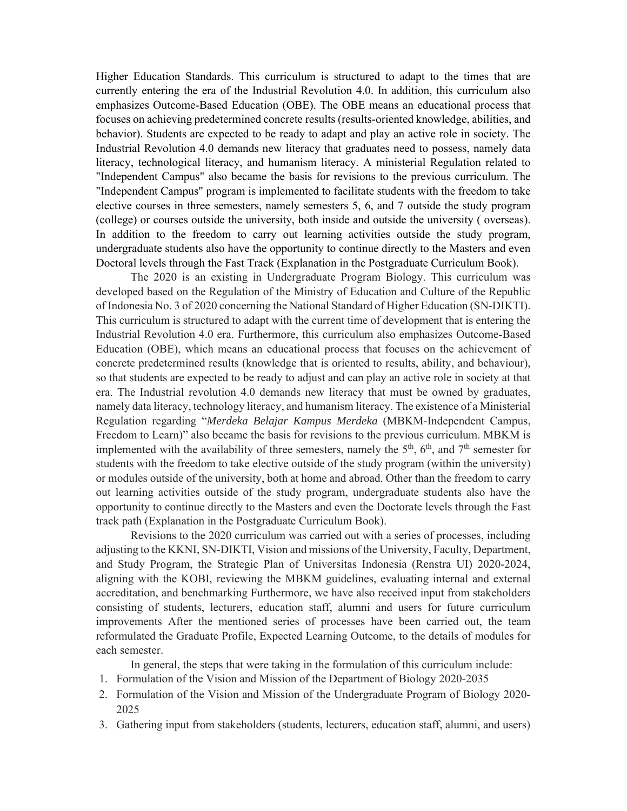Higher Education Standards. This curriculum is structured to adapt to the times that are currently entering the era of the Industrial Revolution 4.0. In addition, this curriculum also emphasizes Outcome-Based Education (OBE). The OBE means an educational process that focuses on achieving predetermined concrete results (results-oriented knowledge, abilities, and behavior). Students are expected to be ready to adapt and play an active role in society. The Industrial Revolution 4.0 demands new literacy that graduates need to possess, namely data literacy, technological literacy, and humanism literacy. A ministerial Regulation related to "Independent Campus" also became the basis for revisions to the previous curriculum. The "Independent Campus" program is implemented to facilitate students with the freedom to take elective courses in three semesters, namely semesters 5, 6, and 7 outside the study program (college) or courses outside the university, both inside and outside the university ( overseas). In addition to the freedom to carry out learning activities outside the study program, undergraduate students also have the opportunity to continue directly to the Masters and even Doctoral levels through the Fast Track (Explanation in the Postgraduate Curriculum Book).

 The 2020 is an existing in Undergraduate Program Biology. This curriculum was developed based on the Regulation of the Ministry of Education and Culture of the Republic of Indonesia No. 3 of 2020 concerning the National Standard of Higher Education (SN-DIKTI). This curriculum is structured to adapt with the current time of development that is entering the Industrial Revolution 4.0 era. Furthermore, this curriculum also emphasizes Outcome-Based Education (OBE), which means an educational process that focuses on the achievement of concrete predetermined results (knowledge that is oriented to results, ability, and behaviour), so that students are expected to be ready to adjust and can play an active role in society at that era. The Industrial revolution 4.0 demands new literacy that must be owned by graduates, namely data literacy, technology literacy, and humanism literacy. The existence of a Ministerial Regulation regarding "*Merdeka Belajar Kampus Merdeka* (MBKM-Independent Campus, Freedom to Learn)" also became the basis for revisions to the previous curriculum. MBKM is implemented with the availability of three semesters, namely the  $5<sup>th</sup>$ ,  $6<sup>th</sup>$ , and  $7<sup>th</sup>$  semester for students with the freedom to take elective outside of the study program (within the university) or modules outside of the university, both at home and abroad. Other than the freedom to carry out learning activities outside of the study program, undergraduate students also have the opportunity to continue directly to the Masters and even the Doctorate levels through the Fast track path (Explanation in the Postgraduate Curriculum Book).

Revisions to the 2020 curriculum was carried out with a series of processes, including adjusting to the KKNI, SN-DIKTI, Vision and missions of the University, Faculty, Department, and Study Program, the Strategic Plan of Universitas Indonesia (Renstra UI) 2020-2024, aligning with the KOBI, reviewing the MBKM guidelines, evaluating internal and external accreditation, and benchmarking Furthermore, we have also received input from stakeholders consisting of students, lecturers, education staff, alumni and users for future curriculum improvements After the mentioned series of processes have been carried out, the team reformulated the Graduate Profile, Expected Learning Outcome, to the details of modules for each semester.

In general, the steps that were taking in the formulation of this curriculum include:

- 1. Formulation of the Vision and Mission of the Department of Biology 2020-2035
- 2. Formulation of the Vision and Mission of the Undergraduate Program of Biology 2020- 2025
- 3. Gathering input from stakeholders (students, lecturers, education staff, alumni, and users)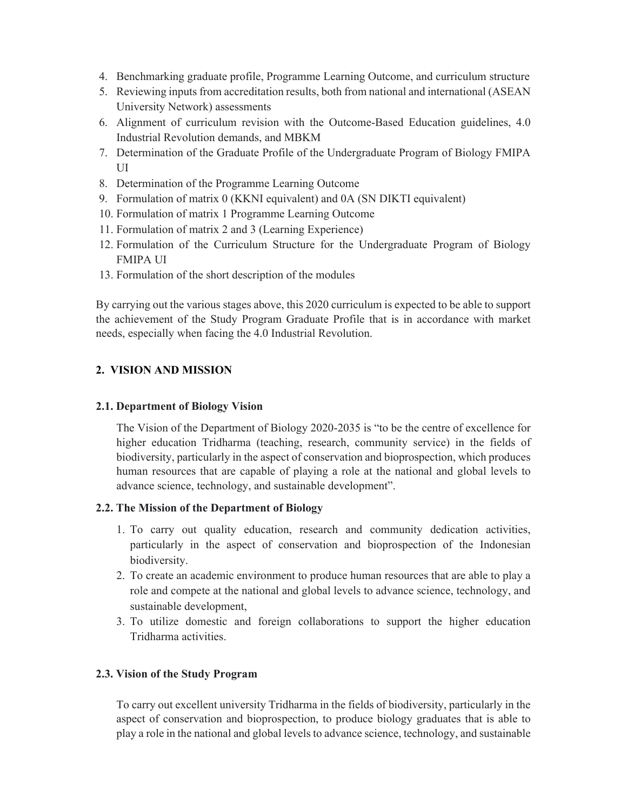- 4. Benchmarking graduate profile, Programme Learning Outcome, and curriculum structure
- 5. Reviewing inputs from accreditation results, both from national and international (ASEAN University Network) assessments
- 6. Alignment of curriculum revision with the Outcome-Based Education guidelines, 4.0 Industrial Revolution demands, and MBKM
- 7. Determination of the Graduate Profile of the Undergraduate Program of Biology FMIPA UI
- 8. Determination of the Programme Learning Outcome
- 9. Formulation of matrix 0 (KKNI equivalent) and 0A (SN DIKTI equivalent)
- 10. Formulation of matrix 1 Programme Learning Outcome
- 11. Formulation of matrix 2 and 3 (Learning Experience)
- 12. Formulation of the Curriculum Structure for the Undergraduate Program of Biology FMIPA UI
- 13. Formulation of the short description of the modules

By carrying out the various stages above, this 2020 curriculum is expected to be able to support the achievement of the Study Program Graduate Profile that is in accordance with market needs, especially when facing the 4.0 Industrial Revolution.

#### **2. VISION AND MISSION**

#### **2.1. Department of Biology Vision**

The Vision of the Department of Biology 2020-2035 is "to be the centre of excellence for higher education Tridharma (teaching, research, community service) in the fields of biodiversity, particularly in the aspect of conservation and bioprospection, which produces human resources that are capable of playing a role at the national and global levels to advance science, technology, and sustainable development".

#### **2.2. The Mission of the Department of Biology**

- 1. To carry out quality education, research and community dedication activities, particularly in the aspect of conservation and bioprospection of the Indonesian biodiversity.
- 2. To create an academic environment to produce human resources that are able to play a role and compete at the national and global levels to advance science, technology, and sustainable development,
- 3. To utilize domestic and foreign collaborations to support the higher education Tridharma activities.

#### **2.3. Vision of the Study Program**

 To carry out excellent university Tridharma in the fields of biodiversity, particularly in the aspect of conservation and bioprospection, to produce biology graduates that is able to play a role in the national and global levels to advance science, technology, and sustainable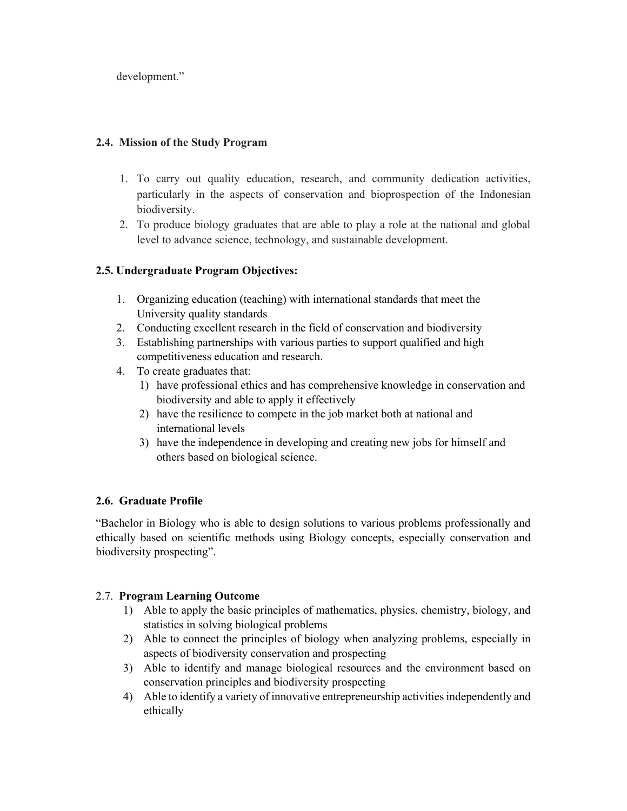development."

#### **2.4. Mission of the Study Program**

- 1. To carry out quality education, research, and community dedication activities, particularly in the aspects of conservation and bioprospection of the Indonesian biodiversity.
- 2. To produce biology graduates that are able to play a role at the national and global level to advance science, technology, and sustainable development.

## **2.5. Undergraduate Program Objectives:**

- 1. Organizing education (teaching) with international standards that meet the University quality standards
- 2. Conducting excellent research in the field of conservation and biodiversity
- 3. Establishing partnerships with various parties to support qualified and high competitiveness education and research.
- 4. To create graduates that:
	- 1) have professional ethics and has comprehensive knowledge in conservation and biodiversity and able to apply it effectively
	- 2) have the resilience to compete in the job market both at national and international levels
	- 3) have the independence in developing and creating new jobs for himself and others based on biological science.

## **2.6. Graduate Profile**

"Bachelor in Biology who is able to design solutions to various problems professionally and ethically based on scientific methods using Biology concepts, especially conservation and biodiversity prospecting".

## 2.7. **Program Learning Outcome**

- 1) Able to apply the basic principles of mathematics, physics, chemistry, biology, and statistics in solving biological problems
- 2) Able to connect the principles of biology when analyzing problems, especially in aspects of biodiversity conservation and prospecting
- 3) Able to identify and manage biological resources and the environment based on conservation principles and biodiversity prospecting
- 4) Able to identify a variety of innovative entrepreneurship activities independently and ethically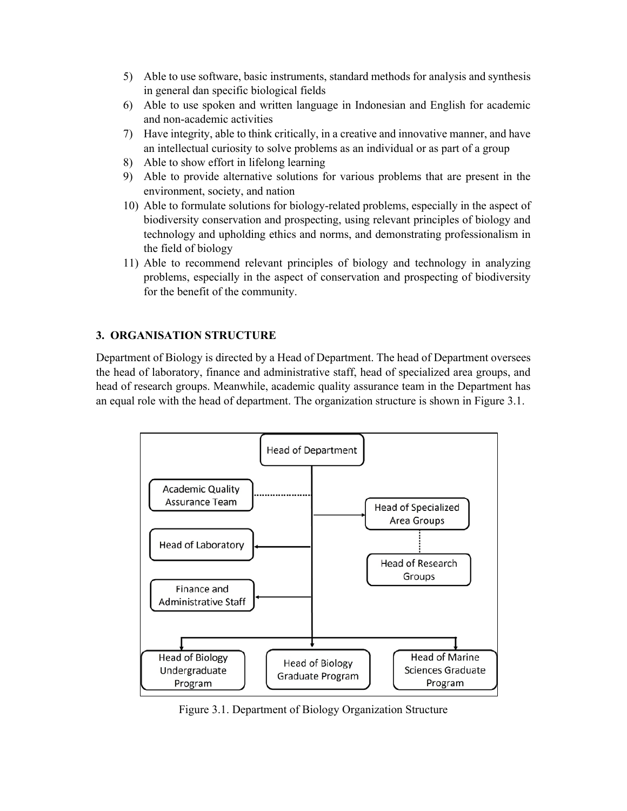- 5) Able to use software, basic instruments, standard methods for analysis and synthesis in general dan specific biological fields
- 6) Able to use spoken and written language in Indonesian and English for academic and non-academic activities
- 7) Have integrity, able to think critically, in a creative and innovative manner, and have an intellectual curiosity to solve problems as an individual or as part of a group
- 8) Able to show effort in lifelong learning
- 9) Able to provide alternative solutions for various problems that are present in the environment, society, and nation
- 10) Able to formulate solutions for biology-related problems, especially in the aspect of biodiversity conservation and prospecting, using relevant principles of biology and technology and upholding ethics and norms, and demonstrating professionalism in the field of biology
- 11) Able to recommend relevant principles of biology and technology in analyzing problems, especially in the aspect of conservation and prospecting of biodiversity for the benefit of the community.

## **3. ORGANISATION STRUCTURE**

Department of Biology is directed by a Head of Department. The head of Department oversees the head of laboratory, finance and administrative staff, head of specialized area groups, and head of research groups. Meanwhile, academic quality assurance team in the Department has an equal role with the head of department. The organization structure is shown in Figure 3.1.



Figure 3.1. Department of Biology Organization Structure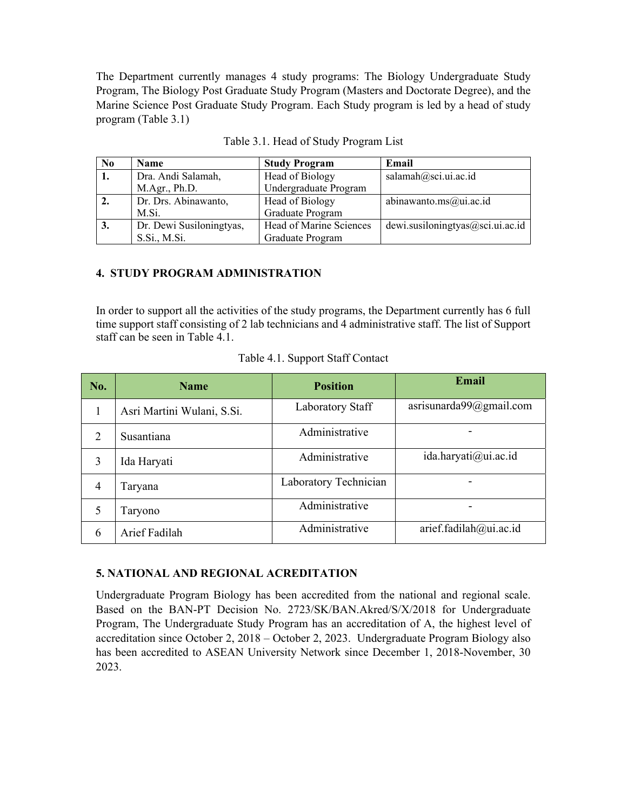The Department currently manages 4 study programs: The Biology Undergraduate Study Program, The Biology Post Graduate Study Program (Masters and Doctorate Degree), and the Marine Science Post Graduate Study Program. Each Study program is led by a head of study program (Table 3.1)

| N <sub>0</sub> | <b>Name</b>              | <b>Study Program</b>    | Email                            |
|----------------|--------------------------|-------------------------|----------------------------------|
| 1.             | Dra. Andi Salamah,       | Head of Biology         | salamah@sci.ui.ac.id             |
|                | M.Agr., Ph.D.            | Undergraduate Program   |                                  |
| 2.             | Dr. Drs. Abinawanto,     | Head of Biology         | abinawanto.ms@ui.ac.id           |
|                | M.Si.                    | Graduate Program        |                                  |
| 3.             | Dr. Dewi Susiloningtyas, | Head of Marine Sciences | dewi.susiloningtyas@sci.ui.ac.id |
|                | S.Si., M.Si.             | Graduate Program        |                                  |

#### **4. STUDY PROGRAM ADMINISTRATION**

In order to support all the activities of the study programs, the Department currently has 6 full time support staff consisting of 2 lab technicians and 4 administrative staff. The list of Support staff can be seen in Table 4.1.

| No.            | <b>Name</b>                | <b>Position</b>       | Email                       |
|----------------|----------------------------|-----------------------|-----------------------------|
| 1              | Asri Martini Wulani, S.Si. | Laboratory Staff      | asrisunarda $99@g$ mail.com |
| 2              | Susantiana                 | Administrative        |                             |
| 3              | Ida Haryati                | Administrative        | ida.haryati@ui.ac.id        |
| $\overline{4}$ | Taryana                    | Laboratory Technician |                             |
| 5              | Taryono                    | Administrative        |                             |
| 6              | Arief Fadilah              | Administrative        | arief.fadilah@ui.ac.id      |

Table 4.1. Support Staff Contact

#### **5. NATIONAL AND REGIONAL ACREDITATION**

Undergraduate Program Biology has been accredited from the national and regional scale. Based on the BAN-PT Decision No. 2723/SK/BAN.Akred/S/X/2018 for Undergraduate Program, The Undergraduate Study Program has an accreditation of A, the highest level of accreditation since October 2, 2018 – October 2, 2023. Undergraduate Program Biology also has been accredited to ASEAN University Network since December 1, 2018-November, 30 2023.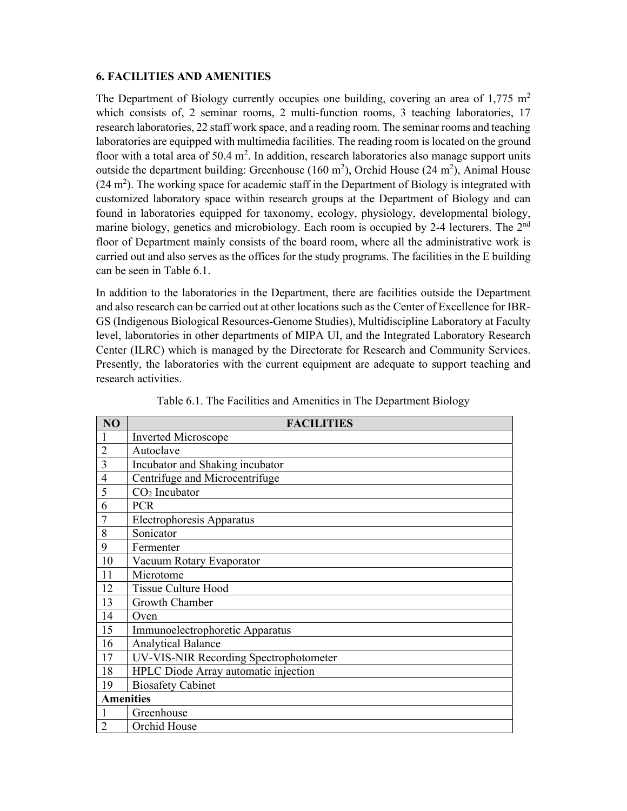#### **6. FACILITIES AND AMENITIES**

The Department of Biology currently occupies one building, covering an area of  $1,775$  m<sup>2</sup> which consists of, 2 seminar rooms, 2 multi-function rooms, 3 teaching laboratories, 17 research laboratories, 22 staff work space, and a reading room. The seminar rooms and teaching laboratories are equipped with multimedia facilities. The reading room is located on the ground floor with a total area of  $50.4 \text{ m}^2$ . In addition, research laboratories also manage support units outside the department building: Greenhouse  $(160 \text{ m}^2)$ , Orchid House  $(24 \text{ m}^2)$ , Animal House  $(24 \text{ m}^2)$ . The working space for academic staff in the Department of Biology is integrated with customized laboratory space within research groups at the Department of Biology and can found in laboratories equipped for taxonomy, ecology, physiology, developmental biology, marine biology, genetics and microbiology. Each room is occupied by 2-4 lecturers. The 2<sup>nd</sup> floor of Department mainly consists of the board room, where all the administrative work is carried out and also serves as the offices for the study programs. The facilities in the E building can be seen in Table 6.1.

In addition to the laboratories in the Department, there are facilities outside the Department and also research can be carried out at other locations such as the Center of Excellence for IBR-GS (Indigenous Biological Resources-Genome Studies), Multidiscipline Laboratory at Faculty level, laboratories in other departments of MIPA UI, and the Integrated Laboratory Research Center (ILRC) which is managed by the Directorate for Research and Community Services. Presently, the laboratories with the current equipment are adequate to support teaching and research activities.

| NO               | <b>FACILITIES</b>                      |
|------------------|----------------------------------------|
| $\mathbf{1}$     | <b>Inverted Microscope</b>             |
| $\overline{2}$   | Autoclave                              |
| 3                | Incubator and Shaking incubator        |
| $\overline{4}$   | Centrifuge and Microcentrifuge         |
| 5                | $CO2$ Incubator                        |
| 6                | <b>PCR</b>                             |
|                  | Electrophoresis Apparatus              |
| 8                | Sonicator                              |
| 9                | Fermenter                              |
| 10               | Vacuum Rotary Evaporator               |
| 11               | Microtome                              |
| 12               | <b>Tissue Culture Hood</b>             |
| 13               | Growth Chamber                         |
| 14               | Oven                                   |
| 15               | Immunoelectrophoretic Apparatus        |
| 16               | <b>Analytical Balance</b>              |
| 17               | UV-VIS-NIR Recording Spectrophotometer |
| 18               | HPLC Diode Array automatic injection   |
| 19               | <b>Biosafety Cabinet</b>               |
| <b>Amenities</b> |                                        |
|                  | Greenhouse                             |
| $\overline{2}$   | Orchid House                           |

Table 6.1. The Facilities and Amenities in The Department Biology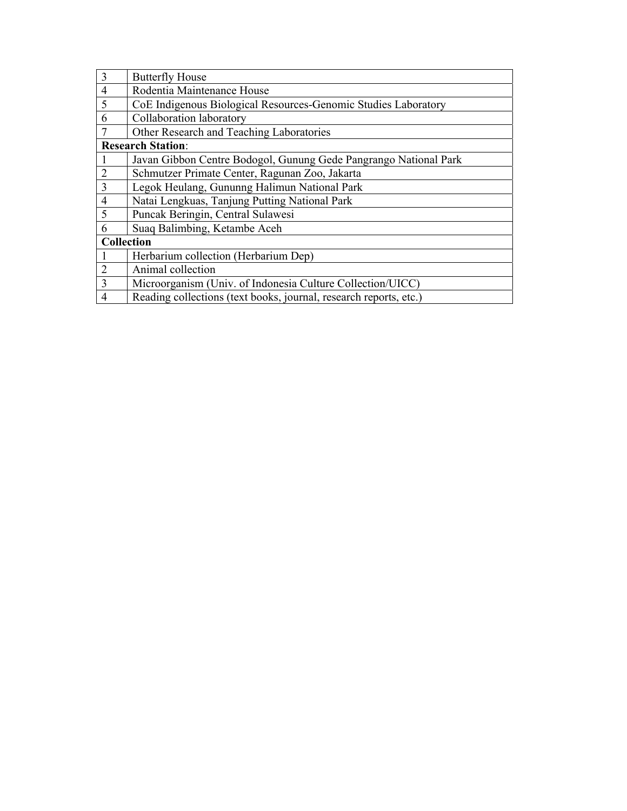| 3              | <b>Butterfly House</b>                                            |
|----------------|-------------------------------------------------------------------|
| $\overline{4}$ | Rodentia Maintenance House                                        |
| 5              | CoE Indigenous Biological Resources-Genomic Studies Laboratory    |
| 6              | Collaboration laboratory                                          |
| 7              | Other Research and Teaching Laboratories                          |
|                | <b>Research Station:</b>                                          |
| -1             | Javan Gibbon Centre Bodogol, Gunung Gede Pangrango National Park  |
| $\overline{2}$ | Schmutzer Primate Center, Ragunan Zoo, Jakarta                    |
| 3              | Legok Heulang, Gununng Halimun National Park                      |
| $\overline{4}$ | Natai Lengkuas, Tanjung Putting National Park                     |
| 5              | Puncak Beringin, Central Sulawesi                                 |
| 6              | Suaq Balimbing, Ketambe Aceh                                      |
| Collection     |                                                                   |
| $\mathbf{1}$   | Herbarium collection (Herbarium Dep)                              |
| $\overline{2}$ | Animal collection                                                 |
| 3              | Microorganism (Univ. of Indonesia Culture Collection/UICC)        |
| $\overline{4}$ | Reading collections (text books, journal, research reports, etc.) |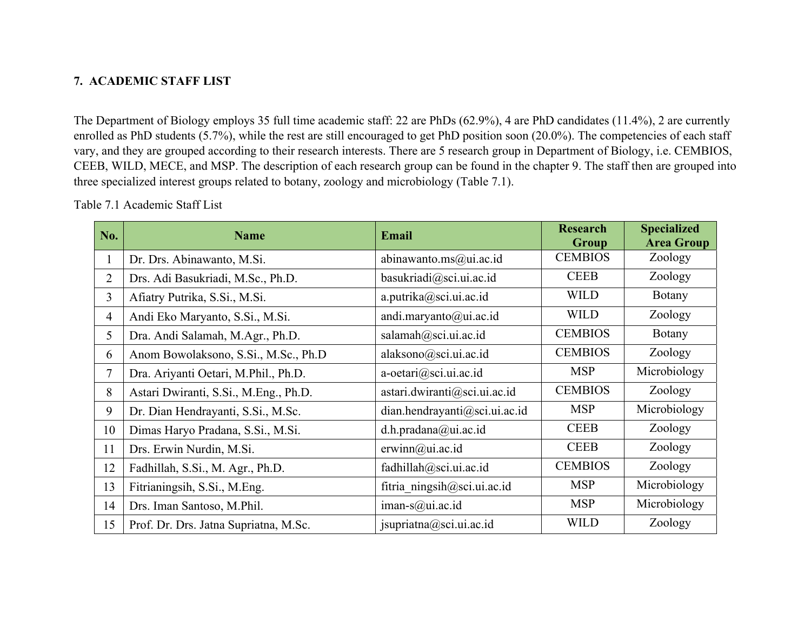# **7. ACADEMIC STAFF LIST**

The Department of Biology employs 35 full time academic staff: 22 are PhDs (62.9%), 4 are PhD candidates (11.4%), 2 are currently enrolled as PhD students (5.7%), while the rest are still encouraged to get PhD position soon (20.0%). The competencies of each staff vary, and they are grouped according to their research interests. There are 5 research group in Department of Biology, i.e. CEMBIOS, CEEB, WILD, MECE, and MSP. The description of each research group can be found in the chapter 9. The staff then are grouped into three specialized interest groups related to botany, zoology and microbiology (Table 7.1).

Table 7.1 Academic Staff List

| No.            | <b>Name</b>                           | <b>Email</b>                  | <b>Research</b><br>Group | <b>Specialized</b><br><b>Area Group</b> |
|----------------|---------------------------------------|-------------------------------|--------------------------|-----------------------------------------|
| $\mathbf{1}$   | Dr. Drs. Abinawanto, M.Si.            | abinawanto.ms@ui.ac.id        | <b>CEMBIOS</b>           | Zoology                                 |
| $\overline{2}$ | Drs. Adi Basukriadi, M.Sc., Ph.D.     | basukriadi@sci.ui.ac.id       | <b>CEEB</b>              | Zoology                                 |
| 3              | Afiatry Putrika, S.Si., M.Si.         | a.putrika@sci.ui.ac.id        | <b>WILD</b>              | Botany                                  |
| 4              | Andi Eko Maryanto, S.Si., M.Si.       | andi.maryanto@ui.ac.id        | <b>WILD</b>              | Zoology                                 |
| 5              | Dra. Andi Salamah, M.Agr., Ph.D.      | salamah@sci.ui.ac.id          | <b>CEMBIOS</b>           | Botany                                  |
| 6              | Anom Bowolaksono, S.Si., M.Sc., Ph.D  | alaksono@sci.ui.ac.id         | <b>CEMBIOS</b>           | Zoology                                 |
| $\tau$         | Dra. Ariyanti Oetari, M.Phil., Ph.D.  | a-oetari@sci.ui.ac.id         | <b>MSP</b>               | Microbiology                            |
| 8              | Astari Dwiranti, S.Si., M.Eng., Ph.D. | astari.dwiranti@sci.ui.ac.id  | <b>CEMBIOS</b>           | Zoology                                 |
| 9              | Dr. Dian Hendrayanti, S.Si., M.Sc.    | dian.hendrayanti@sci.ui.ac.id | <b>MSP</b>               | Microbiology                            |
| 10             | Dimas Haryo Pradana, S.Si., M.Si.     | d.h.pradana@ui.ac.id          | <b>CEEB</b>              | Zoology                                 |
| 11             | Drs. Erwin Nurdin, M.Si.              | erwinn(a)ui.ac.id             | <b>CEEB</b>              | Zoology                                 |
| 12             | Fadhillah, S.Si., M. Agr., Ph.D.      | fadhillah@sci.ui.ac.id        | <b>CEMBIOS</b>           | Zoology                                 |
| 13             | Fitrianingsih, S.Si., M.Eng.          | fitria ningsih@sci.ui.ac.id   | <b>MSP</b>               | Microbiology                            |
| 14             | Drs. Iman Santoso, M.Phil.            | iman- $s$ @ui.ac.id           | <b>MSP</b>               | Microbiology                            |
| 15             | Prof. Dr. Drs. Jatna Supriatna, M.Sc. | jsupriatna@sci.ui.ac.id       | <b>WILD</b>              | Zoology                                 |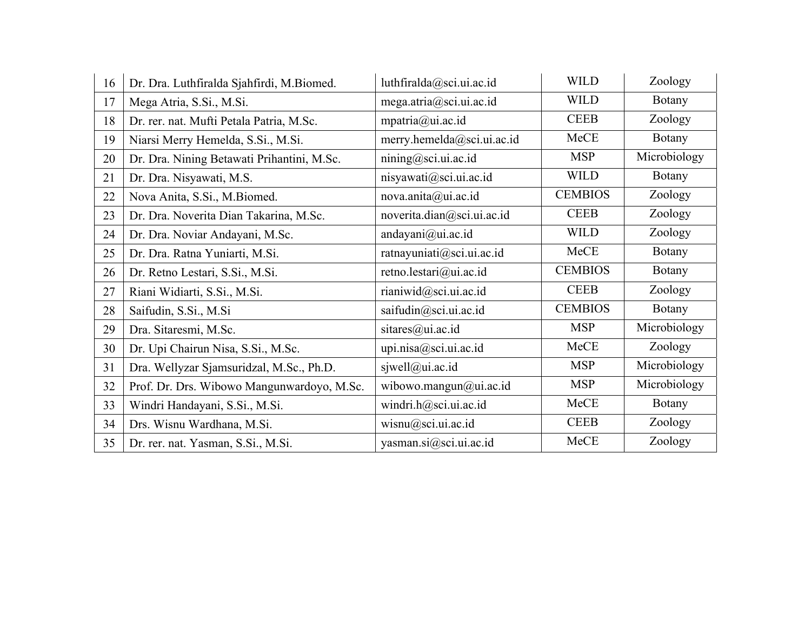| 16 | Dr. Dra. Luthfiralda Sjahfirdi, M.Biomed.  | luthfiralda@sci.ui.ac.id   | <b>WILD</b>    | Zoology      |
|----|--------------------------------------------|----------------------------|----------------|--------------|
| 17 | Mega Atria, S.Si., M.Si.                   | mega.atria@sci.ui.ac.id    | <b>WILD</b>    | Botany       |
| 18 | Dr. rer. nat. Mufti Petala Patria, M.Sc.   | mpatria@ui.ac.id           | <b>CEEB</b>    | Zoology      |
| 19 | Niarsi Merry Hemelda, S.Si., M.Si.         | merry.hemelda@sci.ui.ac.id | MeCE           | Botany       |
| 20 | Dr. Dra. Nining Betawati Prihantini, M.Sc. | nining@sci.ui.ac.id        | <b>MSP</b>     | Microbiology |
| 21 | Dr. Dra. Nisyawati, M.S.                   | nisyawati@sci.ui.ac.id     | <b>WILD</b>    | Botany       |
| 22 | Nova Anita, S.Si., M.Biomed.               | nova.anita@ui.ac.id        | <b>CEMBIOS</b> | Zoology      |
| 23 | Dr. Dra. Noverita Dian Takarina, M.Sc.     | noverita.dian@sci.ui.ac.id | <b>CEEB</b>    | Zoology      |
| 24 | Dr. Dra. Noviar Andayani, M.Sc.            | andayani@ui.ac.id          | <b>WILD</b>    | Zoology      |
| 25 | Dr. Dra. Ratna Yuniarti, M.Si.             | ratnayuniati@sci.ui.ac.id  | MeCE           | Botany       |
| 26 | Dr. Retno Lestari, S.Si., M.Si.            | retno.lestari@ui.ac.id     | <b>CEMBIOS</b> | Botany       |
| 27 | Riani Widiarti, S.Si., M.Si.               | rianiwid@sci.ui.ac.id      | <b>CEEB</b>    | Zoology      |
| 28 | Saifudin, S.Si., M.Si                      | saifudin@sci.ui.ac.id      | <b>CEMBIOS</b> | Botany       |
| 29 | Dra. Sitaresmi, M.Sc.                      | sitares@ui.ac.id           | <b>MSP</b>     | Microbiology |
| 30 | Dr. Upi Chairun Nisa, S.Si., M.Sc.         | upi.nisa@sci.ui.ac.id      | MeCE           | Zoology      |
| 31 | Dra. Wellyzar Sjamsuridzal, M.Sc., Ph.D.   | sjwell@ui.ac.id            | <b>MSP</b>     | Microbiology |
| 32 | Prof. Dr. Drs. Wibowo Mangunwardoyo, M.Sc. | wibowo.mangun@ui.ac.id     | <b>MSP</b>     | Microbiology |
| 33 | Windri Handayani, S.Si., M.Si.             | windri.h@sci.ui.ac.id      | MeCE           | Botany       |
| 34 | Drs. Wisnu Wardhana, M.Si.                 | wisnu@sci.ui.ac.id         | <b>CEEB</b>    | Zoology      |
| 35 | Dr. rer. nat. Yasman, S.Si., M.Si.         | yasman.si@sci.ui.ac.id     | MeCE           | Zoology      |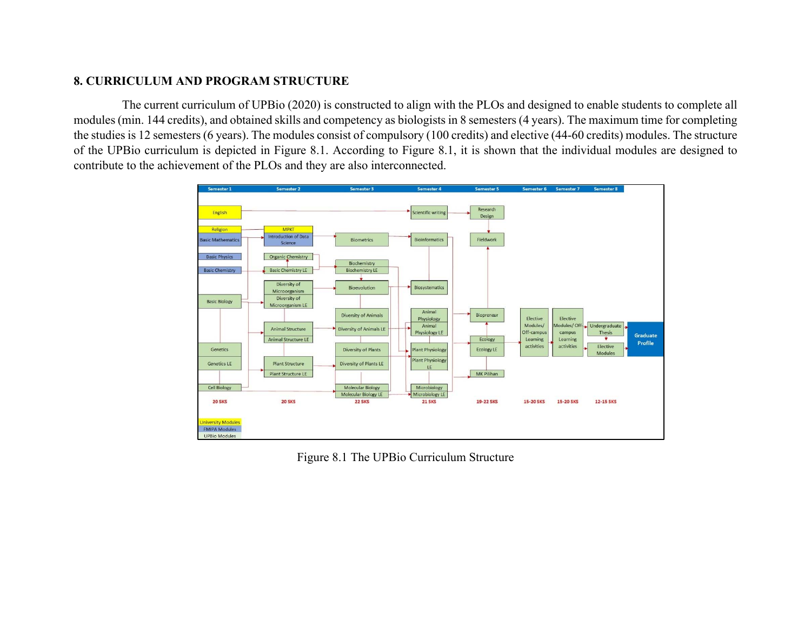#### **8. CURRICULUM AND PROGRAM STRUCTURE**

 The current curriculum of UPBio (2020) is constructed to align with the PLOs and designed to enable students to complete all modules (min. 144 credits), and obtained skills and competency as biologists in 8 semesters (4 years). The maximum time for completing the studies is 12 semesters (6 years). The modules consist of compulsory (100 credits) and elective (44-60 credits) modules. The structure of the UPBio curriculum is depicted in Figure 8.1. According to Figure 8.1, it is shown that the individual modules are designed to contribute to the achievement of the PLOs and they are also interconnected.



Figure 8.1 The UPBio Curriculum Structure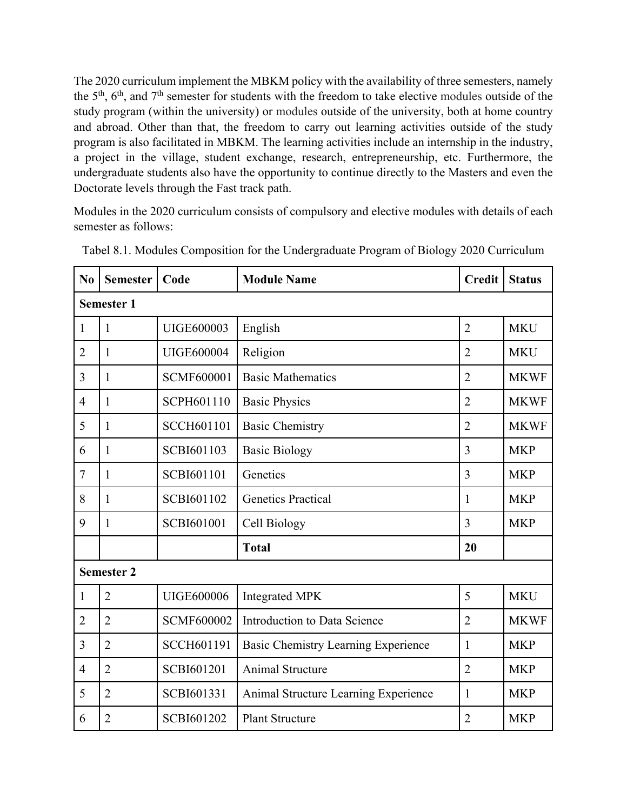The 2020 curriculum implement the MBKM policy with the availability of three semesters, namely the 5th, 6th, and 7th semester for students with the freedom to take elective modules outside of the study program (within the university) or modules outside of the university, both at home country and abroad. Other than that, the freedom to carry out learning activities outside of the study program is also facilitated in MBKM. The learning activities include an internship in the industry, a project in the village, student exchange, research, entrepreneurship, etc. Furthermore, the undergraduate students also have the opportunity to continue directly to the Masters and even the Doctorate levels through the Fast track path.

Modules in the 2020 curriculum consists of compulsory and elective modules with details of each semester as follows:

| N <sub>0</sub> | <b>Semester</b>   | Code              | <b>Module Name</b>                   | <b>Credit</b>  | <b>Status</b> |  |
|----------------|-------------------|-------------------|--------------------------------------|----------------|---------------|--|
|                | <b>Semester 1</b> |                   |                                      |                |               |  |
| 1              | 1                 | <b>UIGE600003</b> | English                              | $\overline{2}$ | <b>MKU</b>    |  |
| $\overline{2}$ | $\mathbf{1}$      | <b>UIGE600004</b> | Religion                             | $\overline{2}$ | <b>MKU</b>    |  |
| 3              | 1                 | <b>SCMF600001</b> | <b>Basic Mathematics</b>             | $\overline{2}$ | <b>MKWF</b>   |  |
| 4              | $\mathbf{1}$      | SCPH601110        | <b>Basic Physics</b>                 | $\overline{2}$ | <b>MKWF</b>   |  |
| 5              | 1                 | <b>SCCH601101</b> | <b>Basic Chemistry</b>               | $\overline{2}$ | <b>MKWF</b>   |  |
| 6              | 1                 | SCBI601103        | <b>Basic Biology</b>                 | 3              | <b>MKP</b>    |  |
| $\tau$         | 1                 | SCBI601101        | Genetics                             | $\overline{3}$ | <b>MKP</b>    |  |
| 8              | 1                 | SCBI601102        | <b>Genetics Practical</b>            | 1              | <b>MKP</b>    |  |
| 9              | 1                 | SCBI601001        | Cell Biology                         | 3              | <b>MKP</b>    |  |
|                |                   |                   | <b>Total</b>                         | 20             |               |  |
|                | <b>Semester 2</b> |                   |                                      |                |               |  |
| 1              | $\overline{2}$    | UIGE600006        | <b>Integrated MPK</b>                | 5              | <b>MKU</b>    |  |
| $\overline{2}$ | $\overline{2}$    | <b>SCMF600002</b> | Introduction to Data Science         | $\overline{2}$ | <b>MKWF</b>   |  |
| 3              | $\overline{2}$    | <b>SCCH601191</b> | Basic Chemistry Learning Experience  | 1              | <b>MKP</b>    |  |
| $\overline{4}$ | $\overline{2}$    | SCBI601201        | <b>Animal Structure</b>              | $\overline{2}$ | <b>MKP</b>    |  |
| 5              | $\overline{2}$    | SCBI601331        | Animal Structure Learning Experience | 1              | <b>MKP</b>    |  |
| 6              | $\overline{2}$    | SCBI601202        | <b>Plant Structure</b>               | $\overline{2}$ | <b>MKP</b>    |  |

Tabel 8.1. Modules Composition for the Undergraduate Program of Biology 2020 Curriculum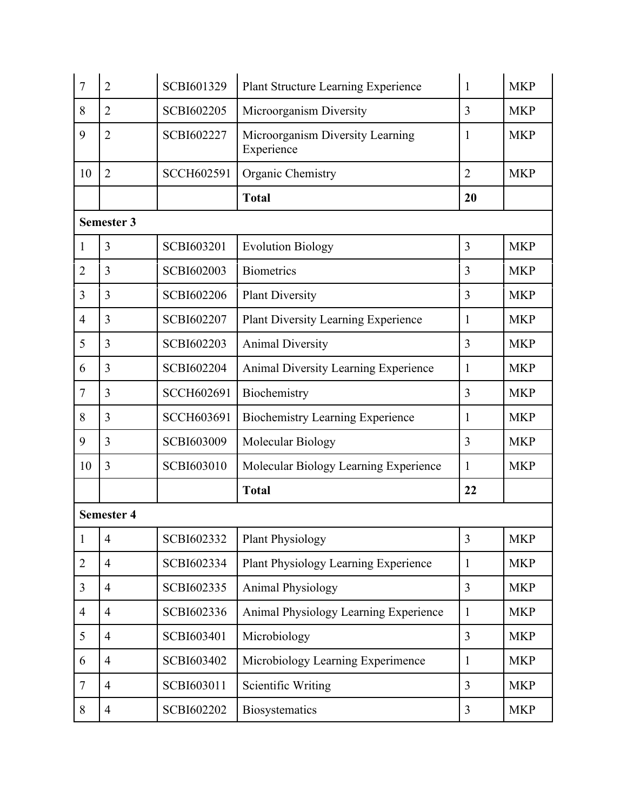| $\overline{7}$ | $\overline{2}$    | SCBI601329        | Plant Structure Learning Experience            | $\mathbf{1}$   | <b>MKP</b> |
|----------------|-------------------|-------------------|------------------------------------------------|----------------|------------|
| 8              | $\overline{2}$    | SCBI602205        | Microorganism Diversity                        | 3              | <b>MKP</b> |
| 9              | $\overline{2}$    | SCBI602227        | Microorganism Diversity Learning<br>Experience | $\mathbf{1}$   | <b>MKP</b> |
| 10             | $\overline{2}$    | <b>SCCH602591</b> | Organic Chemistry                              | $\overline{2}$ | <b>MKP</b> |
|                |                   |                   | <b>Total</b>                                   | 20             |            |
|                | Semester 3        |                   |                                                |                |            |
| 1              | 3                 | SCBI603201        | <b>Evolution Biology</b>                       | 3              | <b>MKP</b> |
| $\overline{2}$ | 3                 | SCBI602003        | <b>Biometrics</b>                              | 3              | <b>MKP</b> |
| 3              | 3                 | SCBI602206        | <b>Plant Diversity</b>                         | 3              | <b>MKP</b> |
| $\overline{4}$ | 3                 | SCBI602207        | <b>Plant Diversity Learning Experience</b>     | $\mathbf{1}$   | <b>MKP</b> |
| 5              | 3                 | SCBI602203        | <b>Animal Diversity</b>                        | 3              | <b>MKP</b> |
| 6              | 3                 | SCBI602204        | <b>Animal Diversity Learning Experience</b>    | $\mathbf{1}$   | <b>MKP</b> |
| $\overline{7}$ | 3                 | <b>SCCH602691</b> | Biochemistry                                   | 3              | <b>MKP</b> |
| 8              | 3                 | <b>SCCH603691</b> | <b>Biochemistry Learning Experience</b>        | 1              | <b>MKP</b> |
| 9              | 3                 | SCBI603009        | Molecular Biology                              | 3              | <b>MKP</b> |
| 10             | 3                 | SCBI603010        | Molecular Biology Learning Experience          | $\mathbf{1}$   | <b>MKP</b> |
|                |                   |                   | <b>Total</b>                                   | 22             |            |
|                | <b>Semester 4</b> |                   |                                                |                |            |
| $\mathbf{1}$   | $\overline{4}$    | SCBI602332        | <b>Plant Physiology</b>                        | 3              | <b>MKP</b> |
| $\overline{2}$ | $\overline{4}$    | SCBI602334        | Plant Physiology Learning Experience           | 1              | <b>MKP</b> |
| 3              | $\overline{4}$    | SCBI602335        | <b>Animal Physiology</b>                       | $\overline{3}$ | <b>MKP</b> |
| $\overline{4}$ | $\overline{4}$    | SCBI602336        | Animal Physiology Learning Experience          | 1              | <b>MKP</b> |
| 5              | $\overline{4}$    | SCBI603401        | Microbiology                                   | 3              | <b>MKP</b> |
| 6              | $\overline{4}$    | SCBI603402        | Microbiology Learning Experimence              | $\mathbf{1}$   | <b>MKP</b> |
| $\tau$         | $\overline{4}$    | SCBI603011        | Scientific Writing                             | $\overline{3}$ | <b>MKP</b> |
|                |                   |                   |                                                |                |            |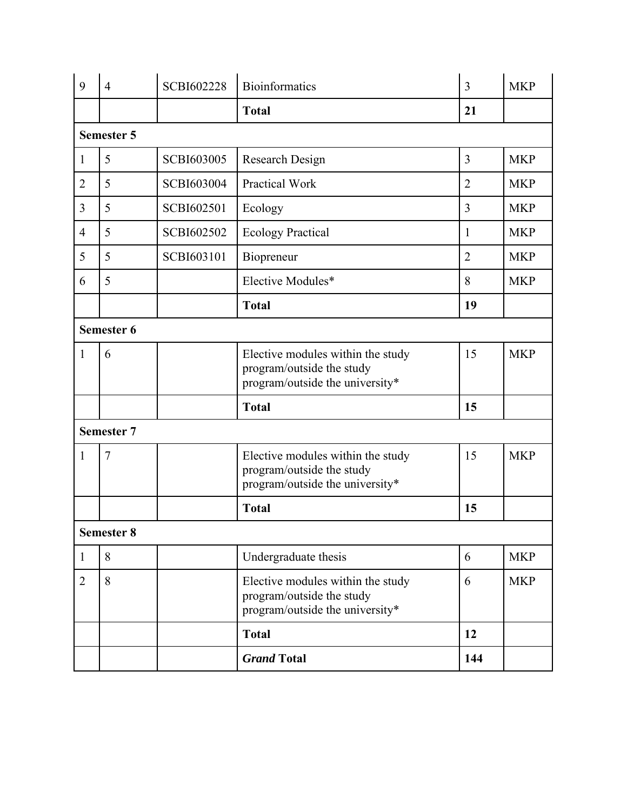| 9              | $\overline{4}$    | <b>SCBI602228</b> | <b>Bioinformatics</b>                                                                             | 3              | <b>MKP</b> |
|----------------|-------------------|-------------------|---------------------------------------------------------------------------------------------------|----------------|------------|
|                |                   |                   | <b>Total</b>                                                                                      | 21             |            |
|                | <b>Semester 5</b> |                   |                                                                                                   |                |            |
| $\mathbf{1}$   | 5                 | <b>SCBI603005</b> | Research Design                                                                                   | 3              | <b>MKP</b> |
| $\overline{2}$ | 5                 | SCBI603004        | <b>Practical Work</b>                                                                             | $\overline{2}$ | <b>MKP</b> |
| 3              | 5                 | SCBI602501        | Ecology                                                                                           | 3              | <b>MKP</b> |
| $\overline{4}$ | 5                 | SCBI602502        | <b>Ecology Practical</b>                                                                          | $\mathbf{1}$   | <b>MKP</b> |
| 5              | 5                 | SCBI603101        | Biopreneur                                                                                        | $\overline{2}$ | <b>MKP</b> |
| 6              | 5                 |                   | Elective Modules*                                                                                 | 8              | <b>MKP</b> |
|                |                   |                   | <b>Total</b>                                                                                      | 19             |            |
|                | Semester 6        |                   |                                                                                                   |                |            |
| 1              | 6                 |                   | Elective modules within the study<br>program/outside the study<br>program/outside the university* | 15             | <b>MKP</b> |
|                |                   |                   | <b>Total</b>                                                                                      | 15             |            |
|                | <b>Semester 7</b> |                   |                                                                                                   |                |            |
| 1              | 7                 |                   | Elective modules within the study<br>program/outside the study<br>program/outside the university* | 15             | <b>MKP</b> |
|                |                   |                   | <b>Total</b>                                                                                      | 15             |            |
|                | <b>Semester 8</b> |                   |                                                                                                   |                |            |
| $\mathbf{1}$   | 8                 |                   | Undergraduate thesis                                                                              | 6              | <b>MKP</b> |
| $\overline{2}$ | 8                 |                   | Elective modules within the study<br>program/outside the study<br>program/outside the university* | 6              | <b>MKP</b> |
|                |                   |                   | <b>Total</b>                                                                                      | 12             |            |
|                |                   |                   | <b>Grand Total</b>                                                                                | 144            |            |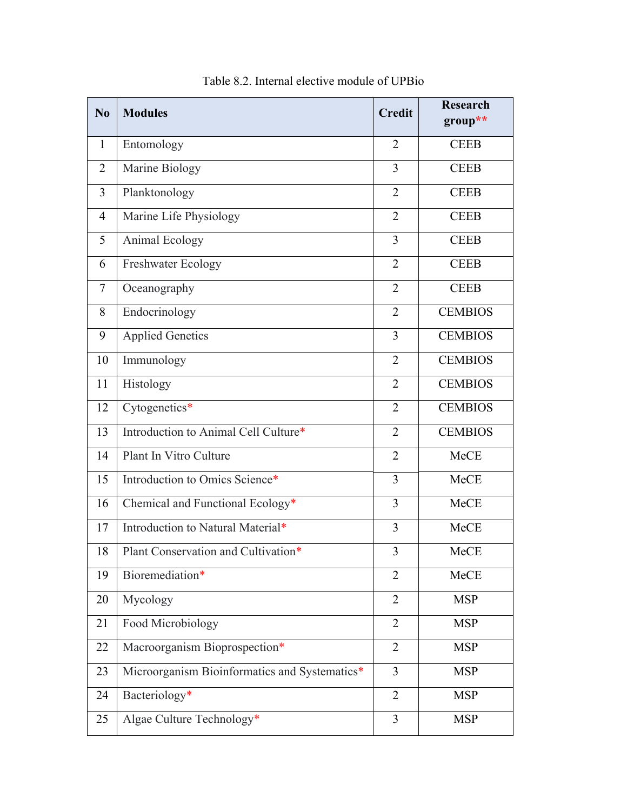| N <sub>0</sub> | <b>Modules</b>                                | <b>Credit</b>  | <b>Research</b><br>group** |
|----------------|-----------------------------------------------|----------------|----------------------------|
| $\mathbf{1}$   | Entomology                                    | 2              | <b>CEEB</b>                |
| $\overline{2}$ | Marine Biology                                | $\overline{3}$ | <b>CEEB</b>                |
| 3              | Planktonology                                 | $\overline{2}$ | <b>CEEB</b>                |
| $\overline{4}$ | Marine Life Physiology                        | $\overline{2}$ | <b>CEEB</b>                |
| 5              | Animal Ecology                                | 3              | <b>CEEB</b>                |
| 6              | <b>Freshwater Ecology</b>                     | 2              | <b>CEEB</b>                |
| 7              | Oceanography                                  | $\overline{2}$ | <b>CEEB</b>                |
| 8              | Endocrinology                                 | $\overline{2}$ | <b>CEMBIOS</b>             |
| 9              | <b>Applied Genetics</b>                       | $\overline{3}$ | <b>CEMBIOS</b>             |
| 10             | Immunology                                    | $\overline{2}$ | <b>CEMBIOS</b>             |
| 11             | Histology                                     | $\overline{2}$ | <b>CEMBIOS</b>             |
| 12             | Cytogenetics*                                 | $\overline{2}$ | <b>CEMBIOS</b>             |
| 13             | Introduction to Animal Cell Culture*          | $\overline{2}$ | <b>CEMBIOS</b>             |
| 14             | Plant In Vitro Culture                        | $\overline{2}$ | MeCE                       |
| 15             | Introduction to Omics Science*                | 3              | MeCE                       |
| 16             | Chemical and Functional Ecology*              | 3              | MeCE                       |
| 17             | Introduction to Natural Material*             | 3              | MeCE                       |
| 18             | Plant Conservation and Cultivation*           | 3              | MeCE                       |
| 19             | Bioremediation*                               | $\overline{2}$ | <b>MeCE</b>                |
| 20             | Mycology                                      | $\overline{2}$ | <b>MSP</b>                 |
| 21             | Food Microbiology                             | $\overline{2}$ | <b>MSP</b>                 |
| 22             | Macroorganism Bioprospection*                 | $\overline{2}$ | <b>MSP</b>                 |
| 23             | Microorganism Bioinformatics and Systematics* | $\overline{3}$ | <b>MSP</b>                 |
| 24             | Bacteriology*                                 | $\overline{2}$ | <b>MSP</b>                 |
| 25             | Algae Culture Technology*                     | $\overline{3}$ | <b>MSP</b>                 |

Table 8.2. Internal elective module of UPBio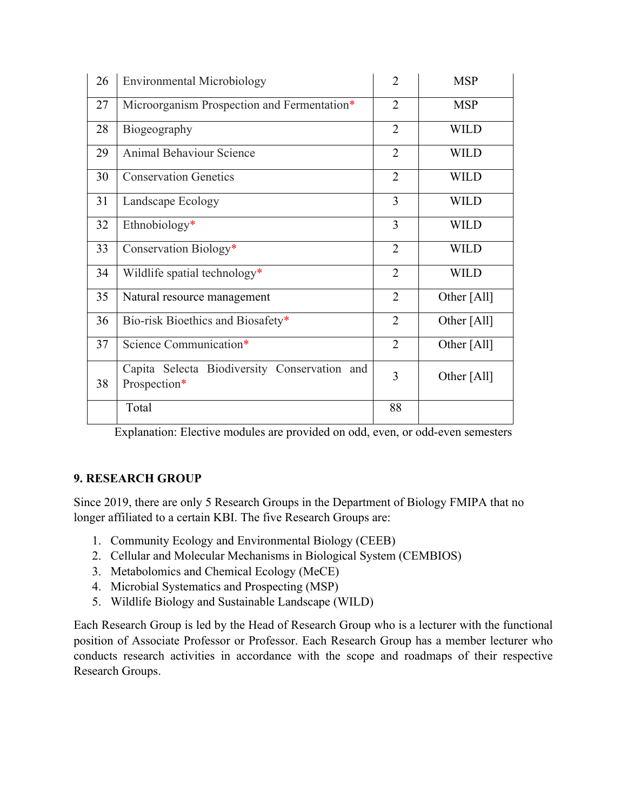| 26 | <b>Environmental Microbiology</b>                            | $\overline{2}$ | <b>MSP</b>  |
|----|--------------------------------------------------------------|----------------|-------------|
| 27 | Microorganism Prospection and Fermentation*                  | $\overline{2}$ | <b>MSP</b>  |
| 28 | Biogeography                                                 | $\overline{2}$ | <b>WILD</b> |
| 29 | <b>Animal Behaviour Science</b>                              | $\overline{2}$ | <b>WILD</b> |
| 30 | <b>Conservation Genetics</b>                                 | $\overline{2}$ | <b>WILD</b> |
| 31 | Landscape Ecology                                            | 3              | <b>WILD</b> |
| 32 | Ethnobiology*                                                | 3              | <b>WILD</b> |
| 33 | Conservation Biology*                                        | $\overline{2}$ | <b>WILD</b> |
| 34 | Wildlife spatial technology*                                 | $\overline{2}$ | <b>WILD</b> |
| 35 | Natural resource management                                  | $\overline{2}$ | Other [All] |
| 36 | Bio-risk Bioethics and Biosafety*                            | $\overline{2}$ | Other [All] |
| 37 | Science Communication*                                       | $\overline{2}$ | Other [All] |
| 38 | Capita Selecta Biodiversity Conservation and<br>Prospection* | 3              | Other [All] |
|    | Total                                                        | 88             |             |

Explanation: Elective modules are provided on odd, even, or odd-even semesters

# **9. RESEARCH GROUP**

Since 2019, there are only 5 Research Groups in the Department of Biology FMIPA that no longer affiliated to a certain KBI. The five Research Groups are:

- 1. Community Ecology and Environmental Biology (CEEB)
- 2. Cellular and Molecular Mechanisms in Biological System (CEMBIOS)
- 3. Metabolomics and Chemical Ecology (MeCE)
- 4. Microbial Systematics and Prospecting (MSP)
- 5. Wildlife Biology and Sustainable Landscape (WILD)

Each Research Group is led by the Head of Research Group who is a lecturer with the functional position of Associate Professor or Professor. Each Research Group has a member lecturer who conducts research activities in accordance with the scope and roadmaps of their respective Research Groups.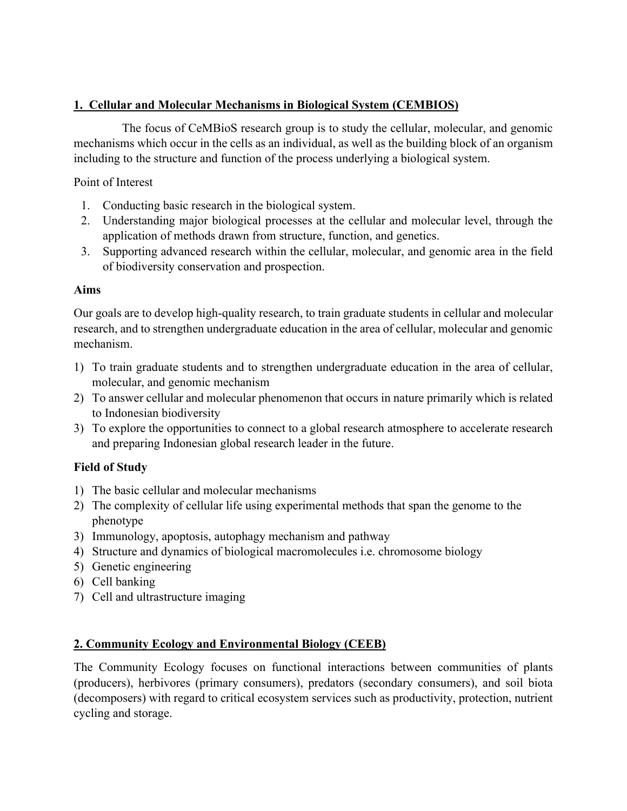# **1. Cellular and Molecular Mechanisms in Biological System (CEMBIOS)**

 The focus of CeMBioS research group is to study the cellular, molecular, and genomic mechanisms which occur in the cells as an individual, as well as the building block of an organism including to the structure and function of the process underlying a biological system.

# Point of Interest

- 1. Conducting basic research in the biological system.
- 2. Understanding major biological processes at the cellular and molecular level, through the application of methods drawn from structure, function, and genetics.
- 3. Supporting advanced research within the cellular, molecular, and genomic area in the field of biodiversity conservation and prospection.

# **Aims**

Our goals are to develop high-quality research, to train graduate students in cellular and molecular research, and to strengthen undergraduate education in the area of cellular, molecular and genomic mechanism.

- 1) To train graduate students and to strengthen undergraduate education in the area of cellular, molecular, and genomic mechanism
- 2) To answer cellular and molecular phenomenon that occurs in nature primarily which is related to Indonesian biodiversity
- 3) To explore the opportunities to connect to a global research atmosphere to accelerate research and preparing Indonesian global research leader in the future.

# **Field of Study**

- 1) The basic cellular and molecular mechanisms
- 2) The complexity of cellular life using experimental methods that span the genome to the phenotype
- 3) Immunology, apoptosis, autophagy mechanism and pathway
- 4) Structure and dynamics of biological macromolecules i.e. chromosome biology
- 5) Genetic engineering
- 6) Cell banking
- 7) Cell and ultrastructure imaging

# **2. Community Ecology and Environmental Biology (CEEB)**

The Community Ecology focuses on functional interactions between communities of plants (producers), herbivores (primary consumers), predators (secondary consumers), and soil biota (decomposers) with regard to critical ecosystem services such as productivity, protection, nutrient cycling and storage.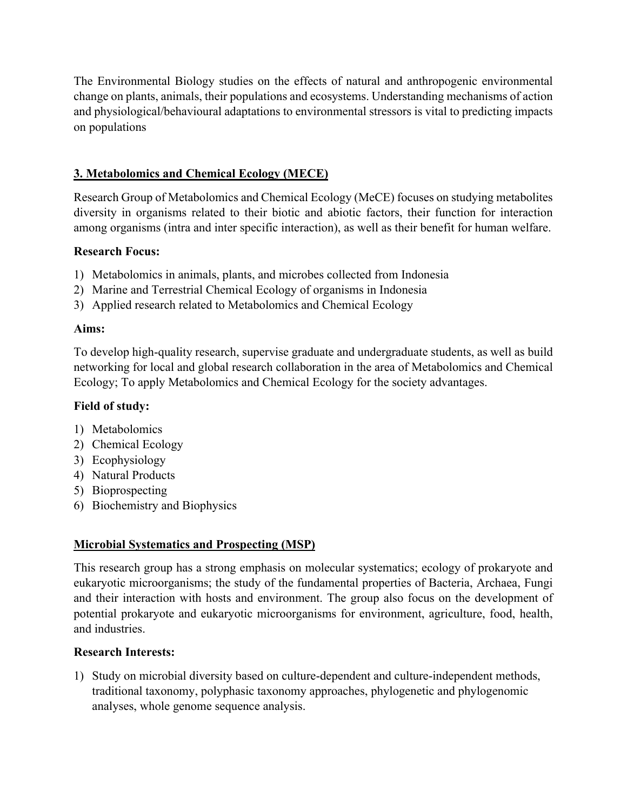The Environmental Biology studies on the effects of natural and anthropogenic environmental change on plants, animals, their populations and ecosystems. Understanding mechanisms of action and physiological/behavioural adaptations to environmental stressors is vital to predicting impacts on populations

# **3. Metabolomics and Chemical Ecology (MECE)**

Research Group of Metabolomics and Chemical Ecology (MeCE) focuses on studying metabolites diversity in organisms related to their biotic and abiotic factors, their function for interaction among organisms (intra and inter specific interaction), as well as their benefit for human welfare.

## **Research Focus:**

- 1) Metabolomics in animals, plants, and microbes collected from Indonesia
- 2) Marine and Terrestrial Chemical Ecology of organisms in Indonesia
- 3) Applied research related to Metabolomics and Chemical Ecology

## **Aims:**

To develop high-quality research, supervise graduate and undergraduate students, as well as build networking for local and global research collaboration in the area of Metabolomics and Chemical Ecology; To apply Metabolomics and Chemical Ecology for the society advantages.

## **Field of study:**

- 1) Metabolomics
- 2) Chemical Ecology
- 3) Ecophysiology
- 4) Natural Products
- 5) Bioprospecting
- 6) Biochemistry and Biophysics

## **Microbial Systematics and Prospecting (MSP)**

This research group has a strong emphasis on molecular systematics; ecology of prokaryote and eukaryotic microorganisms; the study of the fundamental properties of Bacteria, Archaea, Fungi and their interaction with hosts and environment. The group also focus on the development of potential prokaryote and eukaryotic microorganisms for environment, agriculture, food, health, and industries.

## **Research Interests:**

1) Study on microbial diversity based on culture-dependent and culture-independent methods, traditional taxonomy, polyphasic taxonomy approaches, phylogenetic and phylogenomic analyses, whole genome sequence analysis.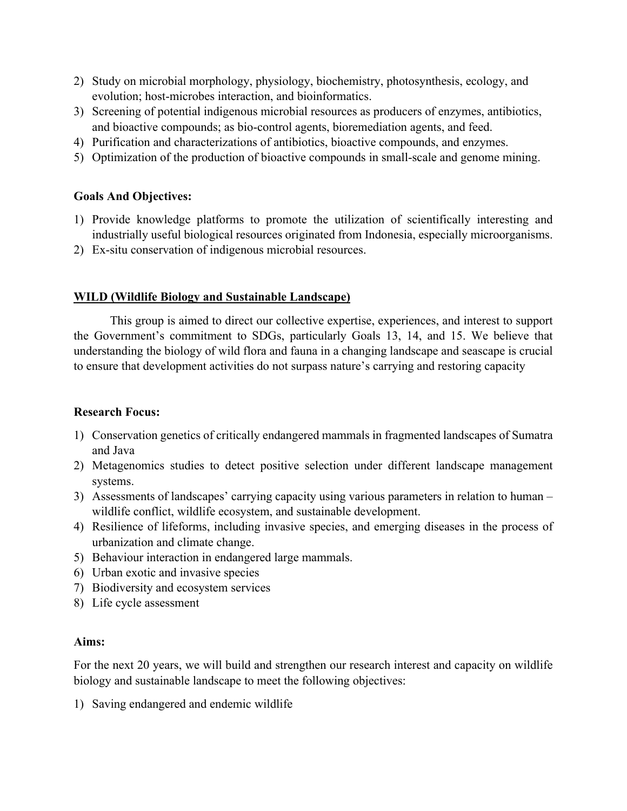- 2) Study on microbial morphology, physiology, biochemistry, photosynthesis, ecology, and evolution; host-microbes interaction, and bioinformatics.
- 3) Screening of potential indigenous microbial resources as producers of enzymes, antibiotics, and bioactive compounds; as bio-control agents, bioremediation agents, and feed.
- 4) Purification and characterizations of antibiotics, bioactive compounds, and enzymes.
- 5) Optimization of the production of bioactive compounds in small-scale and genome mining.

## **Goals And Objectives:**

- 1) Provide knowledge platforms to promote the utilization of scientifically interesting and industrially useful biological resources originated from Indonesia, especially microorganisms.
- 2) Ex-situ conservation of indigenous microbial resources.

#### **WILD (Wildlife Biology and Sustainable Landscape)**

 This group is aimed to direct our collective expertise, experiences, and interest to support the Government's commitment to SDGs, particularly Goals 13, 14, and 15. We believe that understanding the biology of wild flora and fauna in a changing landscape and seascape is crucial to ensure that development activities do not surpass nature's carrying and restoring capacity

#### **Research Focus:**

- 1) Conservation genetics of critically endangered mammals in fragmented landscapes of Sumatra and Java
- 2) Metagenomics studies to detect positive selection under different landscape management systems.
- 3) Assessments of landscapes' carrying capacity using various parameters in relation to human wildlife conflict, wildlife ecosystem, and sustainable development.
- 4) Resilience of lifeforms, including invasive species, and emerging diseases in the process of urbanization and climate change.
- 5) Behaviour interaction in endangered large mammals.
- 6) Urban exotic and invasive species
- 7) Biodiversity and ecosystem services
- 8) Life cycle assessment

#### **Aims:**

For the next 20 years, we will build and strengthen our research interest and capacity on wildlife biology and sustainable landscape to meet the following objectives:

1) Saving endangered and endemic wildlife